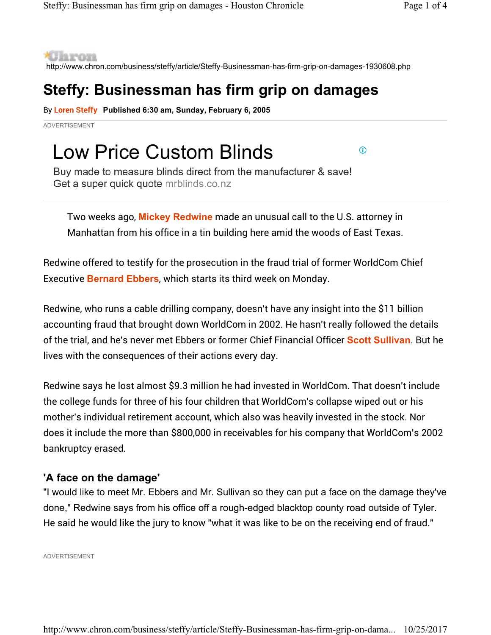**\*Ularon** 

http://www.chron.com/business/steffy/article/Steffy-Businessman-has-firm-grip-on-damages-1930608.php

### **Steffy: Businessman has firm grip on damages**

By **Loren Steffy Published 6:30 am, Sunday, February 6, 2005** 

ADVERTISEMENT

# Low Price Custom Blinds

 $\bigcirc$ 

Buy made to measure blinds direct from the manufacturer & save! Get a super quick quote mrblinds.co.nz

Two weeks ago, **Mickey Redwine** made an unusual call to the U.S. attorney in Manhattan from his office in a tin building here amid the woods of East Texas.

Redwine offered to testify for the prosecution in the fraud trial of former WorldCom Chief Executive **Bernard Ebbers**, which starts its third week on Monday.

Redwine, who runs a cable drilling company, doesn't have any insight into the \$11 billion accounting fraud that brought down WorldCom in 2002. He hasn't really followed the details of the trial, and he's never met Ebbers or former Chief Financial Officer **Scott Sullivan**. But he lives with the consequences of their actions every day.

Redwine says he lost almost \$9.3 million he had invested in WorldCom. That doesn't include the college funds for three of his four children that WorldCom's collapse wiped out or his mother's individual retirement account, which also was heavily invested in the stock. Nor does it include the more than \$800,000 in receivables for his company that WorldCom's 2002 bankruptcy erased.

### **'A face on the damage'**

"I would like to meet Mr. Ebbers and Mr. Sullivan so they can put a face on the damage they've done," Redwine says from his office off a rough-edged blacktop county road outside of Tyler. He said he would like the jury to know "what it was like to be on the receiving end of fraud."

ADVERTISEMENT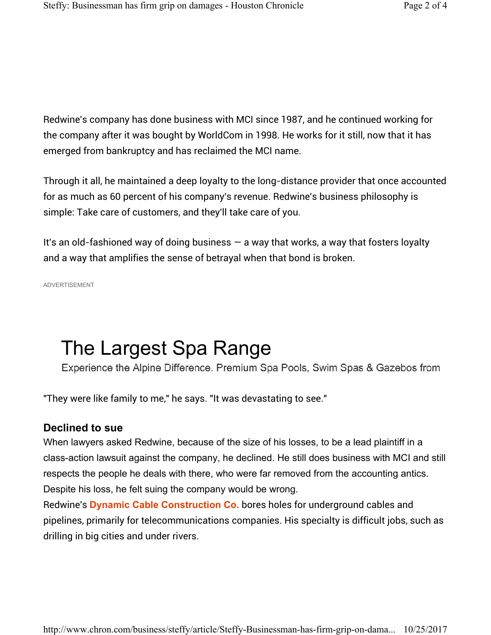Redwine's company has done business with MCI since 1987, and he continued working for the company after it was bought by WorldCom in 1998. He works for it still, now that it has emerged from bankruptcy and has reclaimed the MCI name.

Through it all, he maintained a deep loyalty to the long-distance provider that once accounted for as much as 60 percent of his company's revenue. Redwine's business philosophy is simple: Take care of customers, and they'll take care of you.

It's an old-fashioned way of doing business  $-$  a way that works, a way that fosters loyalty and a way that amplifies the sense of betrayal when that bond is broken.

ADVERTISEMENT

## The Largest Spa Range

Experience the Alpine Difference. Premium Spa Pools, Swim Spas & Gazebos from

"They were like family to me," he says. "It was devastating to see."

#### **Declined to sue**

When lawyers asked Redwine, because of the size of his losses, to be a lead plaintiff in a class-action lawsuit against the company, he declined. He still does business with MCI and still respects the people he deals with there, who were far removed from the accounting antics. Despite his loss, he felt suing the company would be wrong.

Redwine's **Dynamic Cable Construction Co.** bores holes for underground cables and pipelines, primarily for telecommunications companies. His specialty is difficult jobs, such as drilling in big cities and under rivers.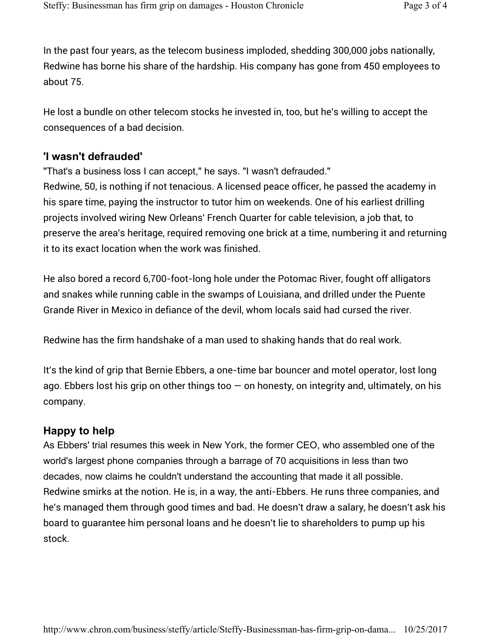In the past four years, as the telecom business imploded, shedding 300,000 jobs nationally, Redwine has borne his share of the hardship. His company has gone from 450 employees to about 75.

He lost a bundle on other telecom stocks he invested in, too, but he's willing to accept the consequences of a bad decision.

### **'I wasn't defrauded'**

"That's a business loss I can accept," he says. "I wasn't defrauded."

Redwine, 50, is nothing if not tenacious. A licensed peace officer, he passed the academy in his spare time, paying the instructor to tutor him on weekends. One of his earliest drilling projects involved wiring New Orleans' French Quarter for cable television, a job that, to preserve the area's heritage, required removing one brick at a time, numbering it and returning it to its exact location when the work was finished.

He also bored a record 6,700-foot-long hole under the Potomac River, fought off alligators and snakes while running cable in the swamps of Louisiana, and drilled under the Puente Grande River in Mexico in defiance of the devil, whom locals said had cursed the river.

Redwine has the firm handshake of a man used to shaking hands that do real work.

It's the kind of grip that Bernie Ebbers, a one-time bar bouncer and motel operator, lost long ago. Ebbers lost his grip on other things too  $-$  on honesty, on integrity and, ultimately, on his company.

### **Happy to help**

As Ebbers' trial resumes this week in New York, the former CEO, who assembled one of the world's largest phone companies through a barrage of 70 acquisitions in less than two decades, now claims he couldn't understand the accounting that made it all possible. Redwine smirks at the notion. He is, in a way, the anti-Ebbers. He runs three companies, and he's managed them through good times and bad. He doesn't draw a salary, he doesn't ask his board to guarantee him personal loans and he doesn't lie to shareholders to pump up his stock.